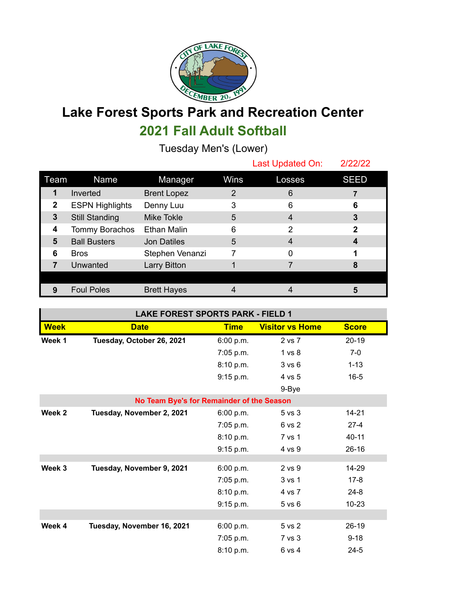

## **Lake Forest Sports Park and Recreation Center 2021 Fall Adult Softball**

Tuesday Men's (Lower)

|      |                        |                     |      | Last Updated On: | 2/22/22     |
|------|------------------------|---------------------|------|------------------|-------------|
| Team | Name                   | Manager             | Wins | Losses           | <b>SEED</b> |
| 1    | Inverted               | <b>Brent Lopez</b>  | 2    | 6                |             |
| 2    | <b>ESPN Highlights</b> | Denny Luu           | 3    | 6                | 6           |
| 3    | <b>Still Standing</b>  | Mike Tokle          | 5    | 4                | 3           |
| 4    | Tommy Borachos         | Ethan Malin         | 6    | 2                | 2           |
| 5    | <b>Ball Busters</b>    | <b>Jon Datiles</b>  | 5    | 4                |             |
| 6    | <b>Bros</b>            | Stephen Venanzi     |      | 0                |             |
|      | Unwanted               | <b>Larry Bitton</b> |      |                  | 8           |
|      |                        |                     |      |                  |             |
| 9    | <b>Foul Poles</b>      | <b>Brett Hayes</b>  |      |                  | 5           |

| <b>LAKE FOREST SPORTS PARK - FIELD 1</b>  |                            |             |                        |              |  |  |  |  |
|-------------------------------------------|----------------------------|-------------|------------------------|--------------|--|--|--|--|
| <b>Week</b>                               | <b>Date</b>                | <b>Time</b> | <b>Visitor vs Home</b> | <b>Score</b> |  |  |  |  |
| Week 1                                    | Tuesday, October 26, 2021  | 6:00 p.m.   | 2 vs 7                 | $20-19$      |  |  |  |  |
|                                           |                            | 7:05 p.m.   | 1 vs 8                 | $7-0$        |  |  |  |  |
|                                           |                            | 8:10 p.m.   | 3 v s 6                | $1 - 13$     |  |  |  |  |
|                                           |                            | 9:15 p.m.   | 4 vs 5                 | $16 - 5$     |  |  |  |  |
|                                           |                            |             | 9-Bye                  |              |  |  |  |  |
| No Team Bye's for Remainder of the Season |                            |             |                        |              |  |  |  |  |
| Week 2                                    | Tuesday, November 2, 2021  | 6:00 p.m.   | 5 <sub>vs</sub> 3      | $14 - 21$    |  |  |  |  |
|                                           |                            | 7:05 p.m.   | 6 vs 2                 | $27 - 4$     |  |  |  |  |
|                                           |                            | 8:10 p.m.   | 7 vs 1                 | $40 - 11$    |  |  |  |  |
|                                           |                            | 9:15 p.m.   | 4 vs 9                 | $26-16$      |  |  |  |  |
|                                           |                            |             |                        |              |  |  |  |  |
| Week 3                                    | Tuesday, November 9, 2021  | 6:00 p.m.   | 2 vs 9                 | 14-29        |  |  |  |  |
|                                           |                            | 7:05 p.m.   | 3 vs 1                 | $17 - 8$     |  |  |  |  |
|                                           |                            | 8:10 p.m.   | 4 vs 7                 | $24 - 8$     |  |  |  |  |
|                                           |                            | 9:15 p.m.   | $5$ vs $6$             | $10 - 23$    |  |  |  |  |
|                                           |                            |             |                        |              |  |  |  |  |
| Week 4                                    | Tuesday, November 16, 2021 | 6:00 p.m.   | 5 vs 2                 | $26-19$      |  |  |  |  |
|                                           |                            | 7:05 p.m.   | 7 vs 3                 | $9 - 18$     |  |  |  |  |
|                                           |                            | 8:10 p.m.   | 6 vs 4                 | $24 - 5$     |  |  |  |  |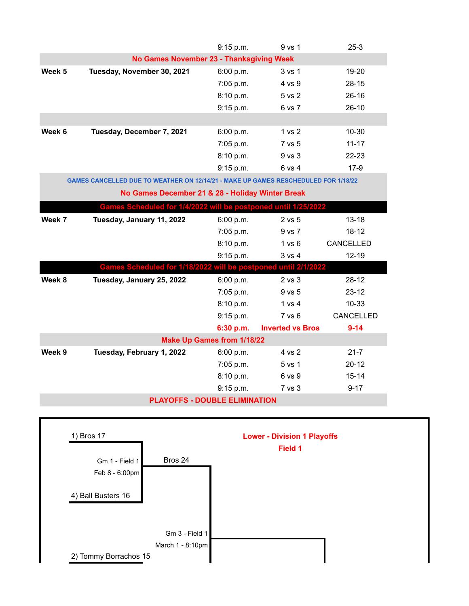|                                                                                    |                                                                | 9:15 p.m. | 9 vs 1                  | $25-3$    |  |  |  |  |
|------------------------------------------------------------------------------------|----------------------------------------------------------------|-----------|-------------------------|-----------|--|--|--|--|
| No Games November 23 - Thanksgiving Week                                           |                                                                |           |                         |           |  |  |  |  |
| Week 5                                                                             | Tuesday, November 30, 2021                                     | 6:00 p.m. | 3 vs 1                  | 19-20     |  |  |  |  |
|                                                                                    |                                                                | 7:05 p.m. | 4 vs 9                  | $28 - 15$ |  |  |  |  |
|                                                                                    |                                                                | 8:10 p.m. | 5 vs 2                  | $26 - 16$ |  |  |  |  |
|                                                                                    |                                                                | 9:15 p.m. | 6 vs 7                  | $26 - 10$ |  |  |  |  |
|                                                                                    |                                                                |           |                         |           |  |  |  |  |
| Week 6                                                                             | Tuesday, December 7, 2021                                      | 6:00 p.m. | 1 vs 2                  | $10 - 30$ |  |  |  |  |
|                                                                                    |                                                                | 7:05 p.m. | 7 vs 5                  | $11 - 17$ |  |  |  |  |
|                                                                                    |                                                                | 8:10 p.m. | 9 vs 3                  | 22-23     |  |  |  |  |
|                                                                                    |                                                                | 9:15 p.m. | 6 vs 4                  | $17-9$    |  |  |  |  |
| GAMES CANCELLED DUE TO WEATHER ON 12/14/21 - MAKE UP GAMES RESCHEDULED FOR 1/18/22 |                                                                |           |                         |           |  |  |  |  |
| No Games December 21 & 28 - Holiday Winter Break                                   |                                                                |           |                         |           |  |  |  |  |
| Games Scheduled for 1/4/2022 will be postponed until 1/25/2022                     |                                                                |           |                         |           |  |  |  |  |
| Week 7                                                                             | Tuesday, January 11, 2022                                      | 6:00 p.m. | 2 vs 5                  | $13 - 18$ |  |  |  |  |
|                                                                                    |                                                                | 7:05 p.m. | 9 vs 7                  | $18 - 12$ |  |  |  |  |
|                                                                                    |                                                                | 8:10 p.m. | 1 v s 6                 | CANCELLED |  |  |  |  |
|                                                                                    |                                                                | 9:15 p.m. | 3 vs 4                  | $12 - 19$ |  |  |  |  |
|                                                                                    | Games Scheduled for 1/18/2022 will be postponed until 2/1/2022 |           |                         |           |  |  |  |  |
| Week 8                                                                             | Tuesday, January 25, 2022                                      | 6:00 p.m. | 2 vs 3                  | $28-12$   |  |  |  |  |
|                                                                                    |                                                                | 7:05 p.m. | 9 vs 5                  | $23 - 12$ |  |  |  |  |
|                                                                                    |                                                                | 8:10 p.m. | 1 vs 4                  | $10 - 33$ |  |  |  |  |
|                                                                                    |                                                                | 9:15 p.m. | 7 vs 6                  | CANCELLED |  |  |  |  |
|                                                                                    |                                                                | 6:30 p.m. | <b>Inverted vs Bros</b> | $9 - 14$  |  |  |  |  |
| <b>Make Up Games from 1/18/22</b>                                                  |                                                                |           |                         |           |  |  |  |  |
| Week 9                                                                             | Tuesday, February 1, 2022                                      | 6:00 p.m. | 4 vs 2                  | $21 - 7$  |  |  |  |  |
|                                                                                    |                                                                | 7:05 p.m. | 5 vs 1                  | $20 - 12$ |  |  |  |  |
|                                                                                    |                                                                | 8:10 p.m. | 6 vs 9                  | $15 - 14$ |  |  |  |  |
|                                                                                    |                                                                | 9:15 p.m. | 7 vs 3                  | $9 - 17$  |  |  |  |  |
| <b>PLAYOFFS - DOUBLE ELIMINATION</b>                                               |                                                                |           |                         |           |  |  |  |  |

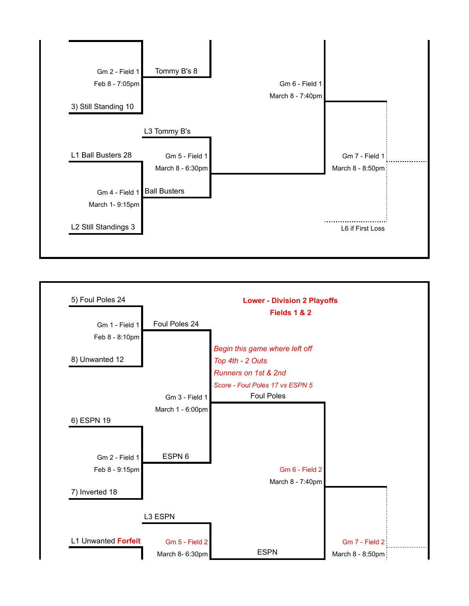